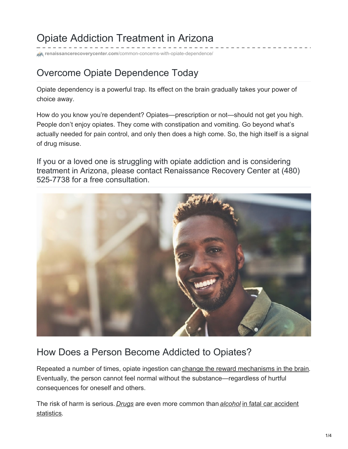# Opiate Addiction Treatment in Arizona

**center.com**[/common-concerns-with-opiate-dependence/](https://www.renaissancerecoverycenter.com/common-concerns-with-opiate-dependence/)

### Overcome Opiate Dependence Today

Opiate dependency is a powerful trap. Its effect on the brain gradually takes your power of choice away.

How do you know you're dependent? Opiates—prescription or not—should not get you high. People don't enjoy opiates. They come with constipation and vomiting. Go beyond what's actually needed for pain control, and only then does a high come. So, the high itself is a signal of drug misuse.

If you or a loved one is struggling with opiate addiction and is considering treatment in Arizona, please contact Renaissance Recovery Center at (480) 525-7738 for a free consultation.



### How Does a Person Become Addicted to Opiates?

Repeated a number of times, opiate ingestion can change the reward [mechanisms](https://www.drugabuse.gov/publications/teaching-packets/neurobiology-drug-addiction/section-ii-reward-pathway-addiction/5-addiction) in the brain. Eventually, the person cannot feel normal without the substance—regardless of hurtful consequences for oneself and others.

The risk of harm is serious. *[Drugs](https://www.renaissancerecoverycenter.com/arizona-drug-rehabilitation/)* are even more common than *[alcohol](https://www.renaissancerecoverycenter.com/outpatient-treatment/)* in fatal car accident [statistics.](https://www.ghsa.org/resources/drugged-driving-2017)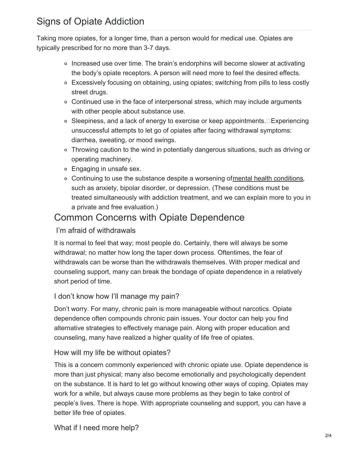Taking more opiates, for a longer time, than a person would for medical use. Opiates are typically prescribed for no more than 3-7 days.

- Increased use over time. The brain's endorphins will become slower at activating the body's opiate receptors. A person will need more to feel the desired effects.
- Excessively focusing on obtaining, using opiates; switching from pills to less costly street drugs.
- Continued use in the face of interpersonal stress, which may include arguments with other people about substance use.
- Sleepiness, and a lack of energy to exercise or keep appointments.□Experiencing unsuccessful attempts to let go of opiates after facing withdrawal symptoms: diarrhea, sweating, or mood swings.
- Throwing caution to the wind in potentially dangerous situations, such as driving or operating machinery.
- Engaging in unsafe sex.
- Continuing to use the substance despite a worsening of mental health [conditions](https://www.renaissancerecoverycenter.com/mental-health-and-dual-diagnosis/), such as anxiety, bipolar disorder, or depression. (These conditions must be treated simultaneously with addiction treatment, and we can explain more to you in a private and free evaluation.)

### Common Concerns with Opiate Dependence

#### I'm afraid of withdrawals

It is normal to feel that way; most people do. Certainly, there will always be some withdrawal; no matter how long the taper down process. Oftentimes, the fear of withdrawals can be worse than the withdrawals themselves. With proper medical and counseling support, many can break the bondage of opiate dependence in a relatively short period of time.

#### I don't know how I'll manage my pain?

Don't worry. For many, chronic pain is more manageable without narcotics. Opiate dependence often compounds chronic pain issues. Your doctor can help you find alternative strategies to effectively manage pain. Along with proper education and counseling, many have realized a higher quality of life free of opiates.

#### How will my life be without opiates?

This is a concern commonly experienced with chronic opiate use. Opiate dependence is more than just physical; many also become emotionally and psychologically dependent on the substance. It is hard to let go without knowing other ways of coping. Opiates may work for a while, but always cause more problems as they begin to take control of people's lives. There is hope. With appropriate counseling and support, you can have a better life free of opiates.

What if I need more help?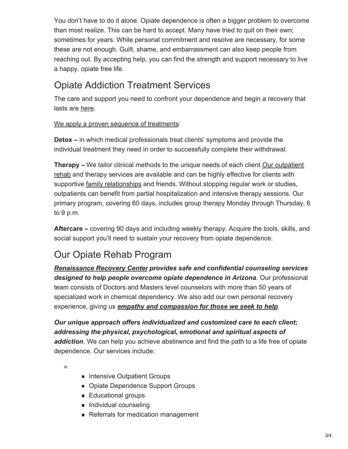You don't have to do it alone. Opiate dependence is often a bigger problem to overcome than most realize. This can be hard to accept. Many have tried to quit on their own; sometimes for years. While personal commitment and resolve are necessary, for some these are not enough. Guilt, shame, and embarrassment can also keep people from reaching out. By accepting help, you can find the strength and support necessary to live a happy, opiate free life.

## Opiate Addiction Treatment Services

The care and support you need to confront your dependence and begin a recovery that lasts are [here](https://www.renaissancerecoverycenter.com/).

#### We apply a proven sequence of [treatments](https://www.renaissancerecoverycenter.com/programs-and-services/):

**Detox –** in which medical professionals treat clients' symptoms and provide the individual treatment they need in order to successfully complete their withdrawal.

**Therapy** – We tailor clinical methods to the unique needs of each client. Our outpatient rehab and therapy services are available and can be highly effective for clients with supportive <u>family [relationships](https://www.renaissancerecoverycenter.com/family-program/)</u> and friends. Without stopping regular work or studies, outpatients can benefit from partial hospitalization and intensive therapy sessions. Our primary program, covering 60 days, includes group therapy Monday through Thursday, 6 to 9 p.m.

**Aftercare –** covering 90 days and including weekly therapy. Acquire the tools, skills, and social support you'll need to sustain your recovery from opiate dependence.

# Our Opiate Rehab Program

*[Renaissance](https://www.renaissancerecoverycenter.com/) Recovery Center provides safe and confidential counseling services designed to help people overcome opiate dependence in Arizona*. Our professional team consists of Doctors and Masters level counselors with more than 50 years of specialized work in chemical dependency. We also add our own personal recovery experience, giving us *empathy and [compassion](https://www.renaissancerecoverycenter.com/about-us/the-renaissance-recovery-difference/) for those we seek to help*.

*Our unique approach offers individualized and customized care to each client; addressing the physical, psychological, emotional and spiritual aspects of addiction*. We can help you achieve abstinence and find the path to a life free of opiate dependence. Our services include:

 $\Omega$ 

- **Intensive Outpatient Groups**
- Opiate Dependence Support Groups
- **Educational groups**
- **Individual counseling**
- Referrals for medication management